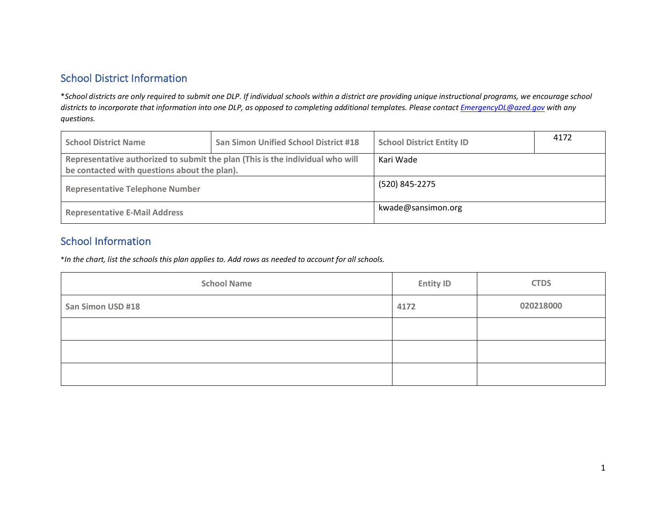# School District Information

\**School districts are only required to submit one DLP. If individual schools within a district are providing unique instructional programs, we encourage school districts to incorporate that information into one DLP, as opposed to completing additional templates. Please contact EmergencyDL@azed.gov with any questions.*

| <b>School District Name</b>                  | <b>San Simon Unified School District #18</b>                                  | <b>School District Entity ID</b> | 4172 |
|----------------------------------------------|-------------------------------------------------------------------------------|----------------------------------|------|
| be contacted with questions about the plan). | Representative authorized to submit the plan (This is the individual who will | Kari Wade                        |      |
| <b>Representative Telephone Number</b>       |                                                                               | (520) 845-2275                   |      |
| <b>Representative E-Mail Address</b>         |                                                                               | kwade@sansimon.org               |      |

### School Information

\**In the chart, list the schools this plan applies to. Add rows as needed to account for all schools.*

| <b>School Name</b> | <b>Entity ID</b> | <b>CTDS</b> |
|--------------------|------------------|-------------|
| San Simon USD #18  | 4172             | 020218000   |
|                    |                  |             |
|                    |                  |             |
|                    |                  |             |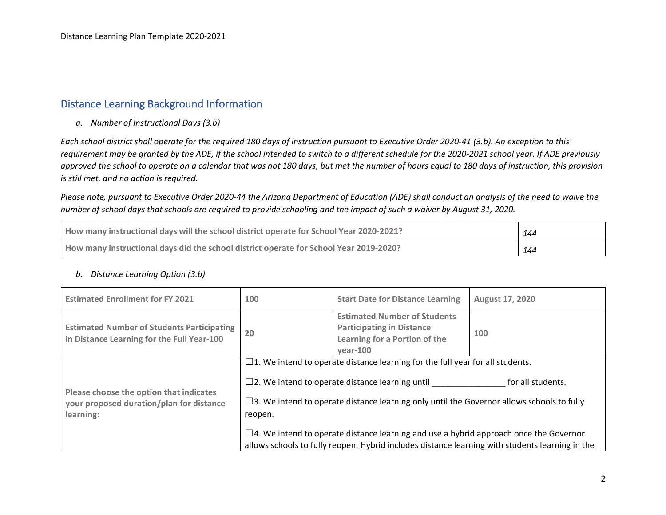### Distance Learning Background Information

*a. Number of Instructional Days (3.b)*

*Each school district shall operate for the required 180 days of instruction pursuant to Executive Order 2020-41 (3.b). An exception to this requirement may be granted by the ADE, if the school intended to switch to a different schedule for the 2020-2021 school year. If ADE previously approved the school to operate on a calendar that was not 180 days, but met the number of hours equal to 180 days of instruction, this provision is still met, and no action is required.*

*Please note, pursuant to Executive Order 2020-44 the Arizona Department of Education (ADE) shall conduct an analysis of the need to waive the number of school days that schools are required to provide schooling and the impact of such a waiver by August 31, 2020.*

| How many instructional days will the school district operate for School Year 2020-2021? | 144 |
|-----------------------------------------------------------------------------------------|-----|
| How many instructional days did the school district operate for School Year 2019-2020?  | 144 |

#### *b. Distance Learning Option (3.b)*

| <b>Estimated Enrollment for FY 2021</b>                                                          | 100     | <b>Start Date for Distance Learning</b>                                                                                                                                                                                                                                                                                                                                                                                                                     | <b>August 17, 2020</b> |
|--------------------------------------------------------------------------------------------------|---------|-------------------------------------------------------------------------------------------------------------------------------------------------------------------------------------------------------------------------------------------------------------------------------------------------------------------------------------------------------------------------------------------------------------------------------------------------------------|------------------------|
| <b>Estimated Number of Students Participating</b><br>in Distance Learning for the Full Year-100  | 20      | <b>Estimated Number of Students</b><br><b>Participating in Distance</b><br>100<br>Learning for a Portion of the<br>vear-100                                                                                                                                                                                                                                                                                                                                 |                        |
| Please choose the option that indicates<br>your proposed duration/plan for distance<br>learning: | reopen. | $\square$ 1. We intend to operate distance learning for the full year for all students.<br>$\square$ 2. We intend to operate distance learning until<br>$\Box$ 3. We intend to operate distance learning only until the Governor allows schools to fully<br>$\Box$ 4. We intend to operate distance learning and use a hybrid approach once the Governor<br>allows schools to fully reopen. Hybrid includes distance learning with students learning in the | for all students.      |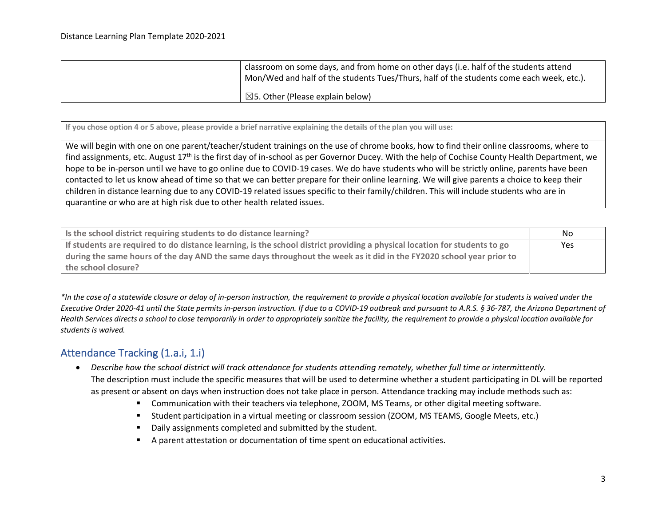| d classroom on some days, and from home on other days (i.e. half of the students attend<br>Mon/Wed and half of the students Tues/Thurs, half of the students come each week, etc.). |
|-------------------------------------------------------------------------------------------------------------------------------------------------------------------------------------|
| $\boxtimes$ 5. Other (Please explain below)                                                                                                                                         |

**If you chose option 4 or 5 above, please provide a brief narrative explaining the details of the plan you will use:**

We will begin with one on one parent/teacher/student trainings on the use of chrome books, how to find their online classrooms, where to find assignments, etc. August 17<sup>th</sup> is the first day of in-school as per Governor Ducey. With the help of Cochise County Health Department, we hope to be in-person until we have to go online due to COVID-19 cases. We do have students who will be strictly online, parents have been contacted to let us know ahead of time so that we can better prepare for their online learning. We will give parents a choice to keep their children in distance learning due to any COVID-19 related issues specific to their family/children. This will include students who are in quarantine or who are at high risk due to other health related issues.

| Is the school district requiring students to do distance learning?                                                        | No.        |
|---------------------------------------------------------------------------------------------------------------------------|------------|
| If students are required to do distance learning, is the school district providing a physical location for students to go | <b>Yes</b> |
| during the same hours of the day AND the same days throughout the week as it did in the FY2020 school year prior to       |            |
| the school closure?                                                                                                       |            |

*\*In the case of a statewide closure or delay of in-person instruction, the requirement to provide a physical location available for students is waived under the Executive Order 2020-41 until the State permits in-person instruction. If due to a COVID-19 outbreak and pursuant to A.R.S. § 36-787, the Arizona Department of Health Services directs a school to close temporarily in order to appropriately sanitize the facility, the requirement to provide a physical location available for students is waived.* 

# Attendance Tracking (1.a.i, 1.i)

- *Describe how the school district will track attendance for students attending remotely, whether full time or intermittently.* The description must include the specific measures that will be used to determine whether a student participating in DL will be reported as present or absent on days when instruction does not take place in person. Attendance tracking may include methods such as:
	- Communication with their teachers via telephone, ZOOM, MS Teams, or other digital meeting software.
	- Student participation in a virtual meeting or classroom session (ZOOM, MS TEAMS, Google Meets, etc.)
	- Daily assignments completed and submitted by the student.
	- § A parent attestation or documentation of time spent on educational activities.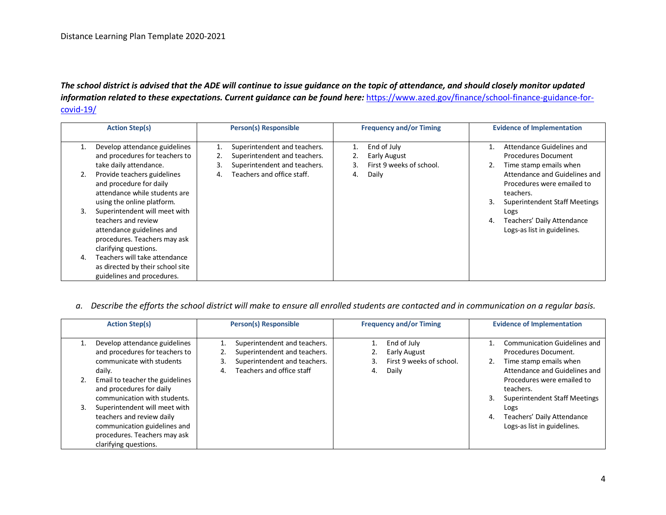*The school district is advised that the ADE will continue to issue guidance on the topic of attendance, and should closely monitor updated information related to these expectations. Current guidance can be found here:* https://www.azed.gov/finance/school-finance-guidance-forcovid-19/

|    | <b>Action Step(s)</b>                                                                                                                      |    | <b>Person(s) Responsible</b>                                                                 |    | <b>Frequency and/or Timing</b>                                 |    | <b>Evidence of Implementation</b>                                                                                |
|----|--------------------------------------------------------------------------------------------------------------------------------------------|----|----------------------------------------------------------------------------------------------|----|----------------------------------------------------------------|----|------------------------------------------------------------------------------------------------------------------|
| 1. | Develop attendance guidelines<br>and procedures for teachers to<br>take daily attendance.                                                  | 3. | Superintendent and teachers.<br>Superintendent and teachers.<br>Superintendent and teachers. |    | End of July<br><b>Early August</b><br>First 9 weeks of school. |    | Attendance Guidelines and<br><b>Procedures Document</b><br>Time stamp emails when                                |
| 2. | Provide teachers guidelines<br>and procedure for daily<br>attendance while students are<br>using the online platform.                      | 4. | Teachers and office staff.                                                                   | 4. | Daily                                                          |    | Attendance and Guidelines and<br>Procedures were emailed to<br>teachers.<br><b>Superintendent Staff Meetings</b> |
| 3. | Superintendent will meet with<br>teachers and review<br>attendance guidelines and<br>procedures. Teachers may ask<br>clarifying questions. |    |                                                                                              |    |                                                                | 4. | Logs<br>Teachers' Daily Attendance<br>Logs-as list in guidelines.                                                |
| 4. | Teachers will take attendance<br>as directed by their school site<br>guidelines and procedures.                                            |    |                                                                                              |    |                                                                |    |                                                                                                                  |

#### *a. Describe the efforts the school district will make to ensure all enrolled students are contacted and in communication on a regular basis.*

| <b>Action Step(s)</b>                                                                                                                               |    | <b>Person(s) Responsible</b>                                                                 |    | <b>Frequency and/or Timing</b>                          |    | <b>Evidence of Implementation</b>                                              |
|-----------------------------------------------------------------------------------------------------------------------------------------------------|----|----------------------------------------------------------------------------------------------|----|---------------------------------------------------------|----|--------------------------------------------------------------------------------|
| Develop attendance guidelines<br>and procedures for teachers to<br>communicate with students                                                        | 3. | Superintendent and teachers.<br>Superintendent and teachers.<br>Superintendent and teachers. |    | End of July<br>Early August<br>First 9 weeks of school. |    | Communication Guidelines and<br>Procedures Document.<br>Time stamp emails when |
| daily.                                                                                                                                              | 4. | Teachers and office staff                                                                    | 4. | Daily                                                   |    | Attendance and Guidelines and                                                  |
| Email to teacher the guidelines<br>and procedures for daily                                                                                         |    |                                                                                              |    |                                                         |    | Procedures were emailed to<br>teachers.                                        |
| communication with students.                                                                                                                        |    |                                                                                              |    |                                                         | 3. | <b>Superintendent Staff Meetings</b>                                           |
| Superintendent will meet with<br>teachers and review daily<br>communication guidelines and<br>procedures. Teachers may ask<br>clarifying questions. |    |                                                                                              |    |                                                         | 4. | Logs<br>Teachers' Daily Attendance<br>Logs-as list in guidelines.              |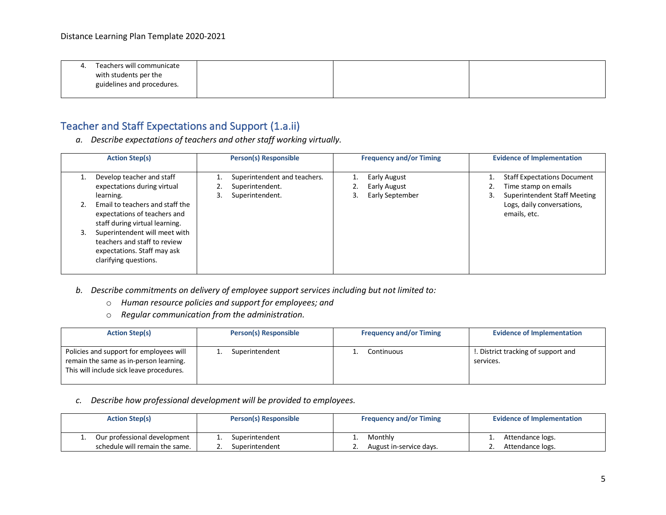| 4. | Teachers will communicate  |  |  |
|----|----------------------------|--|--|
|    | with students per the      |  |  |
|    | guidelines and procedures. |  |  |
|    |                            |  |  |

# Teacher and Staff Expectations and Support (1.a.ii)

*a. Describe expectations of teachers and other staff working virtually.*

| <b>Action Step(s)</b>                                                                                                                                                                                                                                                                               | <b>Person(s) Responsible</b>                                             | <b>Frequency and/or Timing</b>                               | <b>Evidence of Implementation</b>                                                                                                               |
|-----------------------------------------------------------------------------------------------------------------------------------------------------------------------------------------------------------------------------------------------------------------------------------------------------|--------------------------------------------------------------------------|--------------------------------------------------------------|-------------------------------------------------------------------------------------------------------------------------------------------------|
| Develop teacher and staff<br>expectations during virtual<br>learning.<br>Email to teachers and staff the<br>expectations of teachers and<br>staff during virtual learning.<br>Superintendent will meet with<br>teachers and staff to review<br>expectations. Staff may ask<br>clarifying questions. | Superintendent and teachers.<br>Superintendent.<br>Superintendent.<br>3. | Early August<br><b>Early August</b><br>z.<br>Early September | <b>Staff Expectations Document</b><br>Time stamp on emails<br><b>Superintendent Staff Meeting</b><br>Logs, daily conversations,<br>emails, etc. |

- *b. Describe commitments on delivery of employee support services including but not limited to:*
	- o *Human resource policies and support for employees; and*
	- o *Regular communication from the administration.*

| <b>Action Step(s)</b>                                                                                                         | <b>Person(s) Responsible</b> | <b>Frequency and/or Timing</b> | <b>Evidence of Implementation</b>                |
|-------------------------------------------------------------------------------------------------------------------------------|------------------------------|--------------------------------|--------------------------------------------------|
| Policies and support for employees will<br>remain the same as in-person learning.<br>This will include sick leave procedures. | Superintendent               | Continuous                     | !. District tracking of support and<br>services. |

#### *c. Describe how professional development will be provided to employees.*

| <b>Action Step(s)</b>          | Person(s) Responsible | <b>Frequency and/or Timing</b> | <b>Evidence of Implementation</b> |
|--------------------------------|-----------------------|--------------------------------|-----------------------------------|
| Our professional development   | Superintendent        | Monthly                        | Attendance logs.                  |
| schedule will remain the same. | Superintendent        | August in-service days.        | Attendance logs.                  |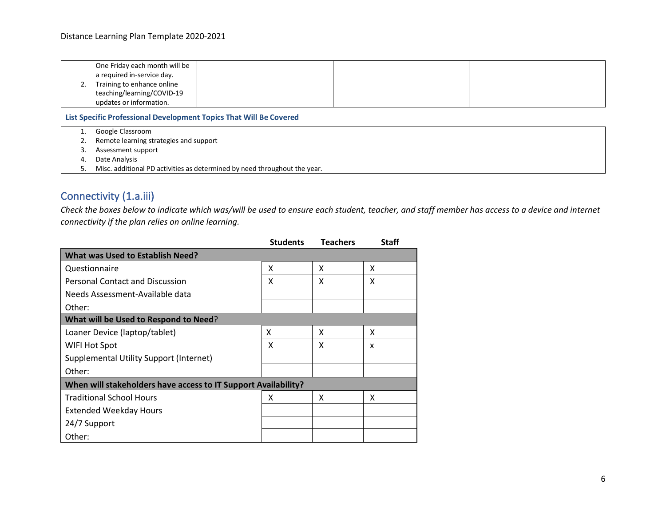|    | One Friday each month will be |  |  |
|----|-------------------------------|--|--|
|    | a required in-service day.    |  |  |
| 2. | Training to enhance online    |  |  |
|    | teaching/learning/COVID-19    |  |  |
|    | updates or information.       |  |  |

**List Specific Professional Development Topics That Will Be Covered**

| Google Classroom |  |
|------------------|--|
|------------------|--|

2. Remote learning strategies and support

- 3. Assessment support
- 4. Date Analysis
- 5. Misc. additional PD activities as determined by need throughout the year.

# Connectivity (1.a.iii)

*Check the boxes below to indicate which was/will be used to ensure each student, teacher, and staff member has access to a device and internet connectivity if the plan relies on online learning.*

|                                                                | <b>Students</b> | <b>Teachers</b> | Staff |
|----------------------------------------------------------------|-----------------|-----------------|-------|
| <b>What was Used to Establish Need?</b>                        |                 |                 |       |
| Questionnaire                                                  | x               | x               | x     |
| <b>Personal Contact and Discussion</b>                         | x               | x               | x     |
| Needs Assessment-Available data                                |                 |                 |       |
| Other:                                                         |                 |                 |       |
| What will be Used to Respond to Need?                          |                 |                 |       |
| Loaner Device (laptop/tablet)                                  | x               | x               | x     |
| WIFI Hot Spot                                                  | x               | x               | x     |
| Supplemental Utility Support (Internet)                        |                 |                 |       |
| Other:                                                         |                 |                 |       |
| When will stakeholders have access to IT Support Availability? |                 |                 |       |
| <b>Traditional School Hours</b>                                | x               | X               | x     |
| <b>Extended Weekday Hours</b>                                  |                 |                 |       |
| 24/7 Support                                                   |                 |                 |       |
| Other:                                                         |                 |                 |       |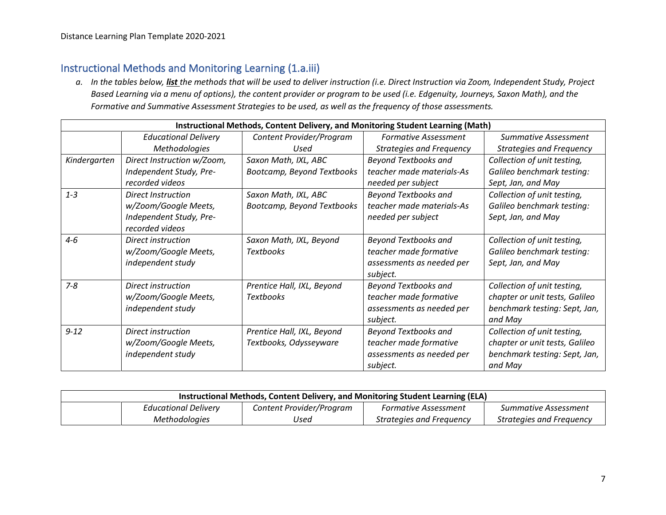# Instructional Methods and Monitoring Learning (1.a.iii)

*a. In the tables below, list the methods that will be used to deliver instruction (i.e. Direct Instruction via Zoom, Independent Study, Project Based Learning via a menu of options), the content provider or program to be used (i.e. Edgenuity, Journeys, Saxon Math), and the Formative and Summative Assessment Strategies to be used, as well as the frequency of those assessments.*

|              | Instructional Methods, Content Delivery, and Monitoring Student Learning (Math) |                            |                                 |                                 |  |
|--------------|---------------------------------------------------------------------------------|----------------------------|---------------------------------|---------------------------------|--|
|              | <b>Educational Delivery</b>                                                     | Content Provider/Program   | <b>Formative Assessment</b>     | Summative Assessment            |  |
|              | Methodologies                                                                   | Used                       | <b>Strategies and Frequency</b> | <b>Strategies and Frequency</b> |  |
| Kindergarten | Direct Instruction w/Zoom,                                                      | Saxon Math, IXL, ABC       | <b>Beyond Textbooks and</b>     | Collection of unit testing,     |  |
|              | Independent Study, Pre-                                                         | Bootcamp, Beyond Textbooks | teacher made materials-As       | Galileo benchmark testing:      |  |
|              | recorded videos                                                                 |                            | needed per subject              | Sept, Jan, and May              |  |
| $1 - 3$      | <b>Direct Instruction</b>                                                       | Saxon Math, IXL, ABC       | <b>Beyond Textbooks and</b>     | Collection of unit testing,     |  |
|              | w/Zoom/Google Meets,                                                            | Bootcamp, Beyond Textbooks | teacher made materials-As       | Galileo benchmark testing:      |  |
|              | Independent Study, Pre-                                                         |                            | needed per subject              | Sept, Jan, and May              |  |
|              | recorded videos                                                                 |                            |                                 |                                 |  |
| $4 - 6$      | Direct instruction                                                              | Saxon Math, IXL, Beyond    | <b>Beyond Textbooks and</b>     | Collection of unit testing,     |  |
|              | w/Zoom/Google Meets,                                                            | <b>Textbooks</b>           | teacher made formative          | Galileo benchmark testing:      |  |
|              | independent study                                                               |                            | assessments as needed per       | Sept, Jan, and May              |  |
|              |                                                                                 |                            | subject.                        |                                 |  |
| $7 - 8$      | Direct instruction                                                              | Prentice Hall, IXL, Beyond | <b>Beyond Textbooks and</b>     | Collection of unit testing,     |  |
|              | w/Zoom/Google Meets,                                                            | <b>Textbooks</b>           | teacher made formative          | chapter or unit tests, Galileo  |  |
|              | independent study                                                               |                            | assessments as needed per       | benchmark testing: Sept, Jan,   |  |
|              |                                                                                 |                            | subject.                        | and May                         |  |
| $9 - 12$     | Direct instruction                                                              | Prentice Hall, IXL, Beyond | <b>Beyond Textbooks and</b>     | Collection of unit testing,     |  |
|              | w/Zoom/Google Meets,                                                            | Textbooks, Odysseyware     | teacher made formative          | chapter or unit tests, Galileo  |  |
|              | independent study                                                               |                            | assessments as needed per       | benchmark testing: Sept, Jan,   |  |
|              |                                                                                 |                            | subject.                        | and May                         |  |

| Instructional Methods, Content Delivery, and Monitoring Student Learning (ELA) |                             |                          |                             |                          |
|--------------------------------------------------------------------------------|-----------------------------|--------------------------|-----------------------------|--------------------------|
|                                                                                | <b>Educational Delivery</b> | Content Provider/Program | <b>Formative Assessment</b> | Summative Assessment     |
|                                                                                | <i>Methodologies</i>        | Used                     | Strategies and Frequency    | Strategies and Freguency |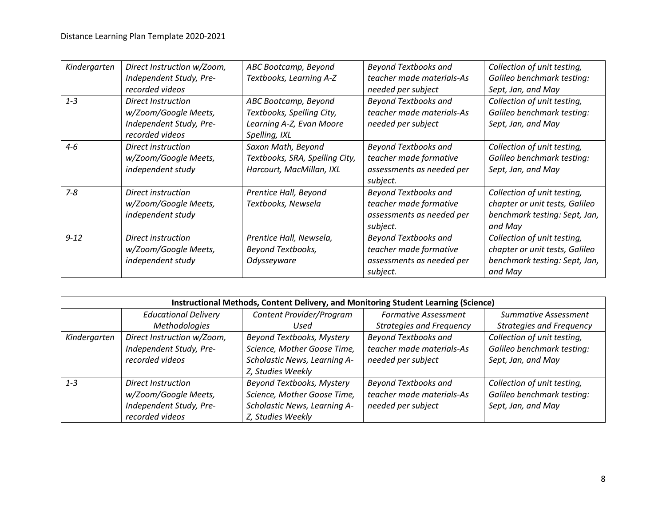| Kindergarten | Direct Instruction w/Zoom, | ABC Bootcamp, Beyond           | <b>Beyond Textbooks and</b> | Collection of unit testing,    |
|--------------|----------------------------|--------------------------------|-----------------------------|--------------------------------|
|              | Independent Study, Pre-    | Textbooks, Learning A-Z        | teacher made materials-As   | Galileo benchmark testing:     |
|              | recorded videos            |                                | needed per subject          | Sept, Jan, and May             |
| $1 - 3$      | Direct Instruction         | ABC Bootcamp, Beyond           | <b>Beyond Textbooks and</b> | Collection of unit testing,    |
|              | w/Zoom/Google Meets,       | Textbooks, Spelling City,      | teacher made materials-As   | Galileo benchmark testing:     |
|              | Independent Study, Pre-    | Learning A-Z, Evan Moore       | needed per subject          | Sept, Jan, and May             |
|              | recorded videos            | Spelling, IXL                  |                             |                                |
| $4 - 6$      | Direct instruction         | Saxon Math, Beyond             | <b>Beyond Textbooks and</b> | Collection of unit testing,    |
|              | w/Zoom/Google Meets,       | Textbooks, SRA, Spelling City, | teacher made formative      | Galileo benchmark testing:     |
|              | independent study          | Harcourt, MacMillan, IXL       | assessments as needed per   | Sept, Jan, and May             |
|              |                            |                                | subject.                    |                                |
| $7 - 8$      | Direct instruction         | Prentice Hall, Beyond          | <b>Beyond Textbooks and</b> | Collection of unit testing,    |
|              | w/Zoom/Google Meets,       | Textbooks, Newsela             | teacher made formative      | chapter or unit tests, Galileo |
|              | independent study          |                                | assessments as needed per   | benchmark testing: Sept, Jan,  |
|              |                            |                                | subject.                    | and May                        |
| $9 - 12$     | Direct instruction         | Prentice Hall, Newsela,        | <b>Beyond Textbooks and</b> | Collection of unit testing,    |
|              | w/Zoom/Google Meets,       | <b>Beyond Textbooks,</b>       | teacher made formative      | chapter or unit tests, Galileo |
|              | independent study          | Odysseyware                    | assessments as needed per   | benchmark testing: Sept, Jan,  |
|              |                            |                                | subject.                    | and May                        |

|              | Instructional Methods, Content Delivery, and Monitoring Student Learning (Science) |                              |                                 |                                 |  |
|--------------|------------------------------------------------------------------------------------|------------------------------|---------------------------------|---------------------------------|--|
|              | <b>Educational Delivery</b>                                                        | Content Provider/Program     | <b>Formative Assessment</b>     | Summative Assessment            |  |
|              | <b>Methodologies</b>                                                               | Used                         | <b>Strategies and Frequency</b> | <b>Strategies and Frequency</b> |  |
| Kindergarten | Direct Instruction w/Zoom,                                                         | Beyond Textbooks, Mystery    | <b>Beyond Textbooks and</b>     | Collection of unit testing,     |  |
|              | Independent Study, Pre-                                                            | Science, Mother Goose Time,  | teacher made materials-As       | Galileo benchmark testing:      |  |
|              | recorded videos                                                                    | Scholastic News, Learning A- | needed per subject              | Sept, Jan, and May              |  |
|              |                                                                                    | Z, Studies Weekly            |                                 |                                 |  |
| $1 - 3$      | Direct Instruction                                                                 | Beyond Textbooks, Mystery    | <b>Beyond Textbooks and</b>     | Collection of unit testing,     |  |
|              | w/Zoom/Google Meets,                                                               | Science, Mother Goose Time,  | teacher made materials-As       | Galileo benchmark testing:      |  |
|              | Independent Study, Pre-                                                            | Scholastic News, Learning A- | needed per subject              | Sept, Jan, and May              |  |
|              | recorded videos                                                                    | Z, Studies Weekly            |                                 |                                 |  |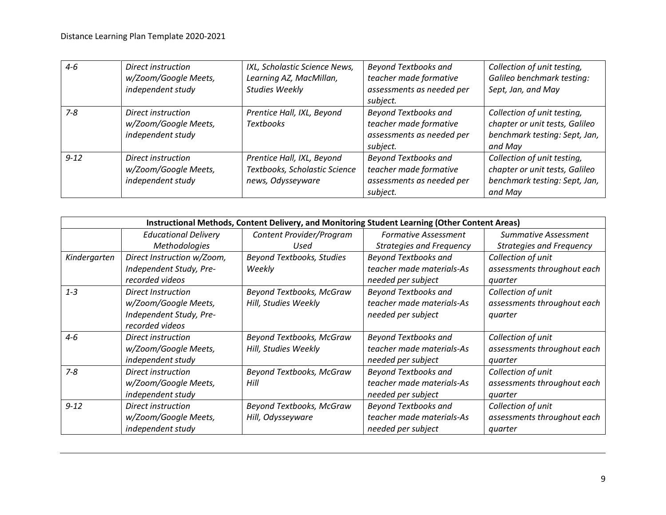| $4 - 6$  | Direct instruction<br>w/Zoom/Google Meets,<br>independent study | IXL, Scholastic Science News,<br>Learning AZ, MacMillan,<br><b>Studies Weekly</b> | <b>Beyond Textbooks and</b><br>teacher made formative<br>assessments as needed per<br>subject. | Collection of unit testing,<br>Galileo benchmark testing:<br>Sept, Jan, and May                           |
|----------|-----------------------------------------------------------------|-----------------------------------------------------------------------------------|------------------------------------------------------------------------------------------------|-----------------------------------------------------------------------------------------------------------|
| $7 - 8$  | Direct instruction<br>w/Zoom/Google Meets,<br>independent study | Prentice Hall, IXL, Beyond<br><b>Textbooks</b>                                    | <b>Beyond Textbooks and</b><br>teacher made formative<br>assessments as needed per<br>subject. | Collection of unit testing,<br>chapter or unit tests, Galileo<br>benchmark testing: Sept, Jan,<br>and May |
| $9 - 12$ | Direct instruction<br>w/Zoom/Google Meets,<br>independent study | Prentice Hall, IXL, Beyond<br>Textbooks, Scholastic Science<br>news, Odysseyware  | <b>Beyond Textbooks and</b><br>teacher made formative<br>assessments as needed per<br>subject. | Collection of unit testing,<br>chapter or unit tests, Galileo<br>benchmark testing: Sept, Jan,<br>and May |

|              | Instructional Methods, Content Delivery, and Monitoring Student Learning (Other Content Areas) |                                  |                                 |                                 |  |
|--------------|------------------------------------------------------------------------------------------------|----------------------------------|---------------------------------|---------------------------------|--|
|              | <b>Educational Delivery</b>                                                                    | Content Provider/Program         | <b>Formative Assessment</b>     | <b>Summative Assessment</b>     |  |
|              | Methodologies                                                                                  | Used                             | <b>Strategies and Frequency</b> | <b>Strategies and Frequency</b> |  |
| Kindergarten | Direct Instruction w/Zoom,                                                                     | <b>Beyond Textbooks, Studies</b> | <b>Beyond Textbooks and</b>     | Collection of unit              |  |
|              | Independent Study, Pre-                                                                        | Weekly                           | teacher made materials-As       | assessments throughout each     |  |
|              | recorded videos                                                                                |                                  | needed per subject              | quarter                         |  |
| $1 - 3$      | <b>Direct Instruction</b>                                                                      | Beyond Textbooks, McGraw         | <b>Beyond Textbooks and</b>     | Collection of unit              |  |
|              | w/Zoom/Google Meets,                                                                           | Hill, Studies Weekly             | teacher made materials-As       | assessments throughout each     |  |
|              | Independent Study, Pre-                                                                        |                                  | needed per subject              | quarter                         |  |
|              | recorded videos                                                                                |                                  |                                 |                                 |  |
| $4 - 6$      | Direct instruction                                                                             | Beyond Textbooks, McGraw         | <b>Beyond Textbooks and</b>     | Collection of unit              |  |
|              | w/Zoom/Google Meets,                                                                           | Hill, Studies Weekly             | teacher made materials-As       | assessments throughout each     |  |
|              | independent study                                                                              |                                  | needed per subject              | quarter                         |  |
| $7 - 8$      | Direct instruction                                                                             | Beyond Textbooks, McGraw         | <b>Beyond Textbooks and</b>     | Collection of unit              |  |
|              | w/Zoom/Google Meets,                                                                           | Hill                             | teacher made materials-As       | assessments throughout each     |  |
|              | independent study                                                                              |                                  | needed per subject              | quarter                         |  |
| $9 - 12$     | Direct instruction                                                                             | Beyond Textbooks, McGraw         | <b>Beyond Textbooks and</b>     | Collection of unit              |  |
|              | w/Zoom/Google Meets,                                                                           | Hill, Odysseyware                | teacher made materials-As       | assessments throughout each     |  |
|              | independent study                                                                              |                                  | needed per subject              | quarter                         |  |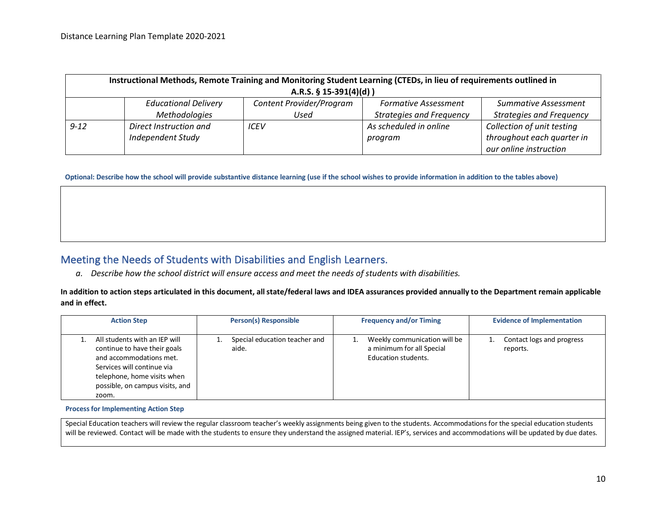| Instructional Methods, Remote Training and Monitoring Student Learning (CTEDs, in lieu of requirements outlined in |                             |                          |                                 |                                 |
|--------------------------------------------------------------------------------------------------------------------|-----------------------------|--------------------------|---------------------------------|---------------------------------|
| A.R.S. $\S$ 15-391(4)(d))                                                                                          |                             |                          |                                 |                                 |
|                                                                                                                    | <b>Educational Delivery</b> | Content Provider/Program | <b>Formative Assessment</b>     | <b>Summative Assessment</b>     |
|                                                                                                                    | Methodologies               | Used                     | <b>Strategies and Frequency</b> | <b>Strategies and Frequency</b> |
| $9 - 12$                                                                                                           | Direct Instruction and      | ICEV                     | As scheduled in online          | Collection of unit testing      |
|                                                                                                                    | <b>Independent Study</b>    |                          | program                         | throughout each quarter in      |
|                                                                                                                    |                             |                          |                                 | our online instruction          |

**Optional: Describe how the school will provide substantive distance learning (use if the school wishes to provide information in addition to the tables above)**

#### Meeting the Needs of Students with Disabilities and English Learners.

*a. Describe how the school district will ensure access and meet the needs of students with disabilities.*

#### **In addition to action steps articulated in this document, all state/federal laws and IDEA assurances provided annually to the Department remain applicable and in effect.**

| All students with an IEP will<br>Special education teacher and<br>Weekly communication will be<br>Contact logs and progress<br>a minimum for all Special<br>continue to have their goals<br>aide.<br>reports.<br>and accommodations met.<br>Education students.<br>Services will continue via<br>telephone, home visits when<br>possible, on campus visits, and<br>zoom. | <b>Action Step</b> | <b>Person(s) Responsible</b> | <b>Frequency and/or Timing</b> | <b>Evidence of Implementation</b> |
|--------------------------------------------------------------------------------------------------------------------------------------------------------------------------------------------------------------------------------------------------------------------------------------------------------------------------------------------------------------------------|--------------------|------------------------------|--------------------------------|-----------------------------------|
|                                                                                                                                                                                                                                                                                                                                                                          |                    |                              |                                |                                   |

**Process for Implementing Action Step**

Special Education teachers will review the regular classroom teacher's weekly assignments being given to the students. Accommodations for the special education students will be reviewed. Contact will be made with the students to ensure they understand the assigned material. IEP's, services and accommodations will be updated by due dates.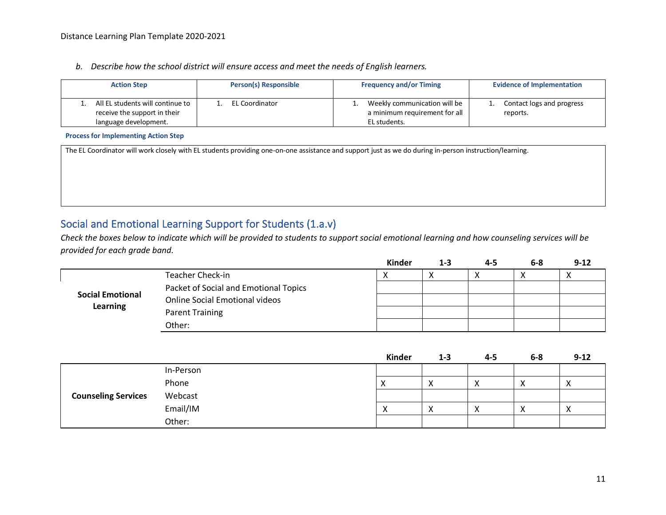#### *b. Describe how the school district will ensure access and meet the needs of English learners.*

| <b>Action Step</b>                                               | <b>Person(s) Responsible</b> | <b>Frequency and/or Timing</b>                                       | <b>Evidence of Implementation</b>     |
|------------------------------------------------------------------|------------------------------|----------------------------------------------------------------------|---------------------------------------|
| All EL students will continue to<br>receive the support in their | EL Coordinator               | Weekly communication will be<br>. .<br>a minimum requirement for all | Contact logs and progress<br>reports. |
| language development.                                            |                              | EL students.                                                         |                                       |

#### **Process for Implementing Action Step**

The EL Coordinator will work closely with EL students providing one-on-one assistance and support just as we do during in-person instruction/learning.

## Social and Emotional Learning Support for Students (1.a.v)

*Check the boxes below to indicate which will be provided to students to support social emotional learning and how counseling services will be provided for each grade band.*

|                         |                                       | <b>Kinder</b> | $1 - 3$ | 4-5 | $6 - 8$ | $9 - 12$ |
|-------------------------|---------------------------------------|---------------|---------|-----|---------|----------|
|                         | Teacher Check-in                      |               |         |     | х       |          |
|                         | Packet of Social and Emotional Topics |               |         |     |         |          |
| <b>Social Emotional</b> | <b>Online Social Emotional videos</b> |               |         |     |         |          |
| <b>Learning</b>         | Parent Training                       |               |         |     |         |          |
|                         | Other:                                |               |         |     |         |          |

|                            |           | Kinder         | $1 - 3$           | $4 - 5$      | $6-8$     | $9 - 12$ |
|----------------------------|-----------|----------------|-------------------|--------------|-----------|----------|
|                            | In-Person |                |                   |              |           |          |
|                            | Phone     |                | $\mathbf{v}$<br>∧ | $\mathbf{v}$ | ∧         |          |
| <b>Counseling Services</b> | Webcast   |                |                   |              |           |          |
|                            | Email/IM  | v<br>$\lambda$ | $\checkmark$<br>⌒ |              | $\lambda$ |          |
|                            | Other:    |                |                   |              |           |          |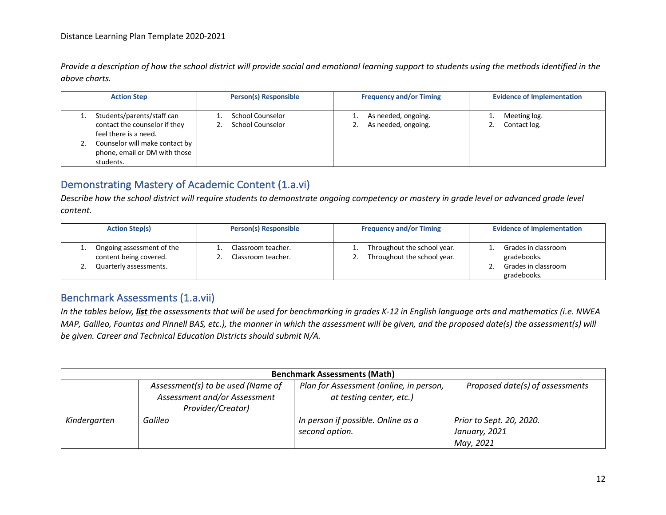*Provide a description of how the school district will provide social and emotional learning support to students using the methods identified in the above charts.*

| <b>Action Step</b>                                                                                                                                                   | <b>Person(s) Responsible</b>                | <b>Frequency and/or Timing</b>                   | <b>Evidence of Implementation</b> |  |  |
|----------------------------------------------------------------------------------------------------------------------------------------------------------------------|---------------------------------------------|--------------------------------------------------|-----------------------------------|--|--|
| Students/parents/staff can<br>contact the counselor if they<br>feel there is a need.<br>Counselor will make contact by<br>phone, email or DM with those<br>students. | School Counselor<br><b>School Counselor</b> | As needed, ongoing.<br>As needed, ongoing.<br>ـ. | Meeting log.<br>Contact log.      |  |  |

### Demonstrating Mastery of Academic Content (1.a.vi)

*Describe how the school district will require students to demonstrate ongoing competency or mastery in grade level or advanced grade level content.*

|  | <b>Action Step(s)</b>                                                         | <b>Person(s) Responsible</b>             |    | <b>Frequency and/or Timing</b>                             | <b>Evidence of Implementation</b>                         |
|--|-------------------------------------------------------------------------------|------------------------------------------|----|------------------------------------------------------------|-----------------------------------------------------------|
|  | Ongoing assessment of the<br>content being covered.<br>Quarterly assessments. | Classroom teacher.<br>Classroom teacher. | ـ. | Throughout the school year.<br>Throughout the school year. | Grades in classroom<br>gradebooks.<br>Grades in classroom |
|  |                                                                               |                                          |    |                                                            | gradebooks.                                               |

#### Benchmark Assessments (1.a.vii)

*In the tables below, list the assessments that will be used for benchmarking in grades K-12 in English language arts and mathematics (i.e. NWEA MAP, Galileo, Fountas and Pinnell BAS, etc.), the manner in which the assessment will be given, and the proposed date(s) the assessment(s) will be given. Career and Technical Education Districts should submit N/A.* 

| <b>Benchmark Assessments (Math)</b> |                                                                                        |                                                                     |                                                        |  |  |  |
|-------------------------------------|----------------------------------------------------------------------------------------|---------------------------------------------------------------------|--------------------------------------------------------|--|--|--|
|                                     | Assessment(s) to be used (Name of<br>Assessment and/or Assessment<br>Provider/Creator) | Plan for Assessment (online, in person,<br>at testing center, etc.) | Proposed date(s) of assessments                        |  |  |  |
| Kindergarten                        | Galileo                                                                                | In person if possible. Online as a<br>second option.                | Prior to Sept. 20, 2020.<br>January, 2021<br>May, 2021 |  |  |  |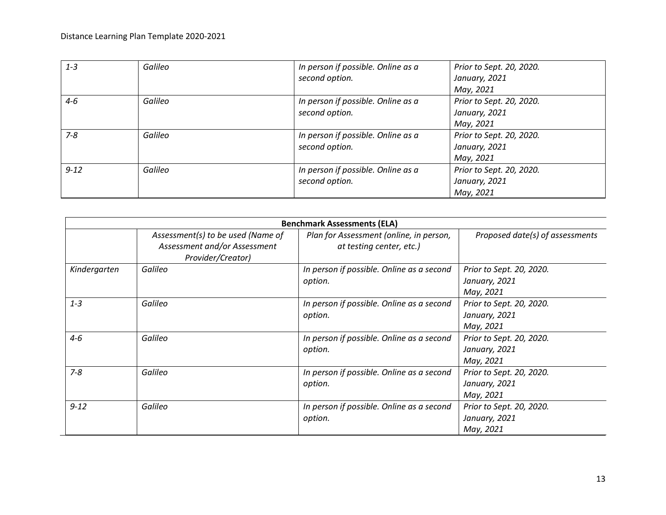| $1 - 3$  | Galileo | In person if possible. Online as a | Prior to Sept. 20, 2020. |
|----------|---------|------------------------------------|--------------------------|
|          |         | second option.                     | January, 2021            |
|          |         |                                    | May, 2021                |
| 4-6      | Galileo | In person if possible. Online as a | Prior to Sept. 20, 2020. |
|          |         | second option.                     | January, 2021            |
|          |         |                                    | May, 2021                |
| $7 - 8$  | Galileo | In person if possible. Online as a | Prior to Sept. 20, 2020. |
|          |         | second option.                     | January, 2021            |
|          |         |                                    | May, 2021                |
| $9 - 12$ | Galileo | In person if possible. Online as a | Prior to Sept. 20, 2020. |
|          |         | second option.                     | January, 2021            |
|          |         |                                    | May, 2021                |

|              |                                                                                        | <b>Benchmark Assessments (ELA)</b>                                  |                                                        |
|--------------|----------------------------------------------------------------------------------------|---------------------------------------------------------------------|--------------------------------------------------------|
|              | Assessment(s) to be used (Name of<br>Assessment and/or Assessment<br>Provider/Creator) | Plan for Assessment (online, in person,<br>at testing center, etc.) | Proposed date(s) of assessments                        |
| Kindergarten | Galileo                                                                                | In person if possible. Online as a second<br>option.                | Prior to Sept. 20, 2020.<br>January, 2021<br>May, 2021 |
| $1 - 3$      | Galileo                                                                                | In person if possible. Online as a second<br>option.                | Prior to Sept. 20, 2020.<br>January, 2021<br>May, 2021 |
| $4 - 6$      | Galileo                                                                                | In person if possible. Online as a second<br>option.                | Prior to Sept. 20, 2020.<br>January, 2021<br>May, 2021 |
| $7 - 8$      | Galileo                                                                                | In person if possible. Online as a second<br>option.                | Prior to Sept. 20, 2020.<br>January, 2021<br>May, 2021 |
| $9 - 12$     | Galileo                                                                                | In person if possible. Online as a second<br>option.                | Prior to Sept. 20, 2020.<br>January, 2021<br>May, 2021 |